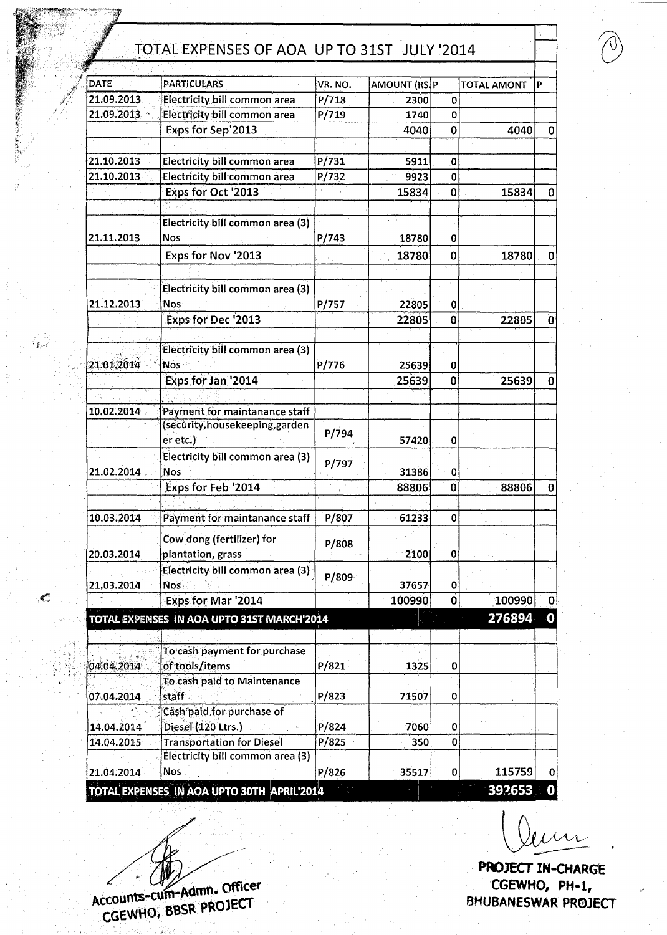| <b>TOTAL AMONT</b> | AMOUNT (RS.P | VR. NO.                   | <b>PARTICULARS</b>                         | DATE                 |
|--------------------|--------------|---------------------------|--------------------------------------------|----------------------|
| $\Omega$           | 2300         | P/718                     | Electricity bill common area               | 21.09.2013           |
| $\Omega$           | 1740         | P/719                     | Electricity bill common area               | 21.09.2013           |
| 4040<br>$\Omega$   | 4040         |                           | Exps for Sep'2013                          |                      |
| $\mathbf{0}$       | 5911         | P/731                     | <b>Electricity bill common area</b>        | 21.10.2013           |
| nl                 | 9923         | P/732                     | Electricity bill common area               | 21.10.2013           |
| 15834              | 15834        | $\mathcal{L}=\mathcal{L}$ | Exps for Oct '2013                         |                      |
|                    |              |                           |                                            |                      |
|                    |              |                           | Electricity bill common area (3)           |                      |
|                    | 18780        | P/743                     | Nos                                        | 21.11.2013           |
| 18780              | 18780        |                           | Exps for Nov '2013                         |                      |
|                    |              |                           |                                            |                      |
|                    |              |                           | Electricity bill common area (3)           |                      |
| -O I               | 22805        | P/757                     | <b>Nos</b>                                 | 21.12.2013           |
| 22805<br>$\Omega$  | 22805        |                           | Exps for Dec '2013                         |                      |
|                    |              |                           |                                            |                      |
|                    |              |                           | <b>Electricity bill common area (3)</b>    |                      |
|                    | 25639        | P/776                     | Nos                                        | 21.01.2014           |
| 25639<br><u>n</u>  | 25639        |                           | Exps for Jan '2014                         |                      |
|                    |              |                           |                                            |                      |
|                    |              |                           | Payment for maintanance staff              | $ 10.02.2014\rangle$ |
|                    |              | P/794                     | (security, housekeeping, garden            |                      |
|                    | 57420        |                           | $ $ er etc. $ $                            |                      |
|                    |              | P/797                     | Electricity bill common area (3)           |                      |
| 01                 | 31386        |                           | Nos                                        | 21.02.2014           |
| 88806              | 88806        |                           | Exps for Feb '2014                         |                      |
| $\Omega$           | 61233        |                           |                                            | 10.03.2014           |
|                    |              | P/807                     | Payment for maintanance staff              |                      |
|                    |              | P/808                     | Cow dong (fertilizer) for                  |                      |
| 0                  | 2100         |                           | plantation, grass                          | 20.03.2014           |
|                    |              | P/809                     | Electricity bill common area (3)           |                      |
| 0l                 | 37657        |                           | Nos                                        | 21.03.2014           |
| 100990<br>Οl       | 100990       |                           | Exps for Mar '2014                         |                      |
| 276894 0           |              |                           | TOTAL EXPENSES IN AOA UPTO 31ST MARCH'2014 |                      |
|                    |              |                           |                                            |                      |
|                    |              |                           | To cash payment for purchase               |                      |
| $\mathbf{0}$       | 1325         | P/821                     | of tools/items                             | 04.04.2014           |
|                    |              |                           | To cash paid to Maintenance                |                      |
| 0 I                | 71507        | P/823                     | staff                                      | 07.04.2014           |
|                    |              |                           | Cash paid for purchase of                  |                      |
|                    | 7060         | P/824                     | Diesel (120 Ltrs.)                         | 14.04.2014           |
| 01                 | 350          | P/825                     | <b>Transportation for Diesel</b>           | 14.04.2015           |
|                    |              |                           | Electricity bill common area (3)           |                      |
|                    |              | P/826                     | Nos                                        | 21.04.2014           |

.--".. ' / M<br>counts-cum-Admn. Officer

ACCOUNTS-CRECR PROJEC  $CCEMHO^{\epsilon}$ . DDJL $\ldots$ 

~~

PROJECT IN-CHARGE CGEWHO, PH-I, BHUBANESWAR PROJECT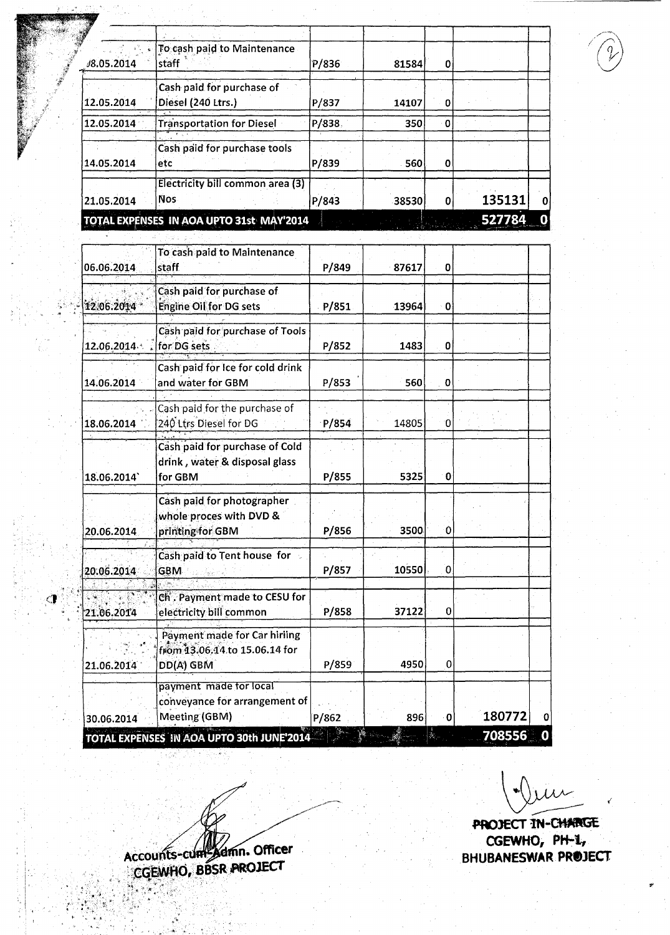| Ý          |                                                 |       |       |        |        |   |
|------------|-------------------------------------------------|-------|-------|--------|--------|---|
| /8.05.2014 | To cash paid to Maintenance<br>staff            | P/836 | 81584 |        |        |   |
| 12.05.2014 | Cash paid for purchase of<br>Diesel (240 Ltrs.) | P/837 | 14107 | 0      |        |   |
| 12.05.2014 | <b>Transportation for Diesel</b>                | P/838 | 350   | 0      |        |   |
| 14.05.2014 | Cash paid for purchase tools<br>etc.            | P/839 | 560   | 0      |        |   |
| 21.05.2014 | Electricity bill common area (3)<br><b>Nos</b>  | P/843 | 38530 | o      | 135131 | 0 |
|            | TOTAL EXPENSES IN AOA UPTO 31st MAY'2014        |       |       | 527784 |        |   |

| TOTAL EXPENSES IN AOA UPTO 30th JUNE'2014 |                                                                            |       |       |             | 708556 | $\overline{0}$ |
|-------------------------------------------|----------------------------------------------------------------------------|-------|-------|-------------|--------|----------------|
| 30.06.2014                                | payment made for local<br>conveyance for arrangement of<br>Meeting (GBM)   | P/862 | 896   | - 0         | 180772 | 0              |
| 21.06.2014                                | Payment made for Car hirling<br>from 13.06.14 to 15.06.14 for<br>DD(A) GBM | P/859 | 4950  | 0           |        |                |
| 21.06.2014                                | Ch. Payment made to CESU for<br>electricity bill common                    | P/858 | 37122 | $\mathbf 0$ |        |                |
| 20.06.2014                                | Cash paid to Tent house for<br><b>GBM</b>                                  | P/857 | 10550 | 0           |        |                |
| 20.06.2014                                | Cash paid for photographer<br>whole proces with DVD &<br>printing for GBM  | P/856 | 3500  | Ó           |        |                |
| 18.06.2014                                | Cash paid for purchase of Cold<br>drink, water & disposal glass<br>for GBM | P/855 | 5325  | $\mathbf 0$ |        |                |
| 18.06.2014                                | Cash paid for the purchase of<br>240 Ltrs Diesel for DG                    | P/854 | 14805 | 0           |        |                |
| 14.06.2014                                | Cash paid for Ice for cold drink<br>and water for GBM                      | P/853 | 560   | 0           |        |                |
| 12.06.2014                                | Cash paid for purchase of Tools<br>for DG sets                             | P/852 | 1483  | 0           |        |                |
| 12.06.2014                                | Cash paid for purchase of<br>Engine Oil for DG sets                        | P/851 | 13964 | 0           |        |                |
| 06.06.2014                                | To cash paid to Maintenance<br>staff                                       | P/849 | 87617 | O           |        |                |

BHUBANESWAR. PReJECT ACC()Ullts~ ' , n. Officer , ~.~;CG'6Wtl(j,BBSRMOJECT ~";:';' *'s;.{··;* :':: ':t ';~;:,":;'.::.?"" .' ''',~'' .- ,., -, '

 $\sim$  (  $\sim$  0)] and  $\sim$  10  $\sim$  10  $\sim$ *i:-,r;'* . ~ :,;';t<,

PROJECT IN-CHARGE CGEWHO, PH-1,<br>BHUBANESWAR PROJECT

.~

"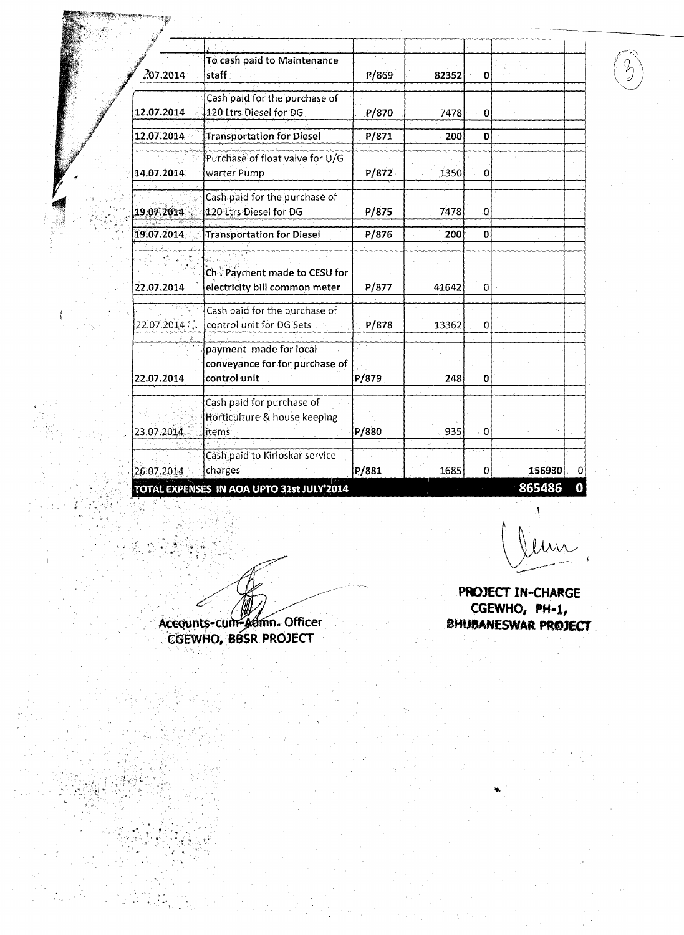| To cash paid to Maintenance<br>207.2014<br>staff<br>P/869<br>82352<br> 0                                 |               |
|----------------------------------------------------------------------------------------------------------|---------------|
| Cash paid for the purchase of                                                                            |               |
| 12.07.2014<br>120 Ltrs Diesel for DG<br>P/870<br>7478<br>.OI                                             |               |
| 12.07.2014<br><b>Transportation for Diesel</b><br>P/871<br>$\mathbf{0}$<br>200                           |               |
| Purchase of float valve for U/G<br>warter Pump<br>P/872<br>14.07.2014<br>1350<br>0                       |               |
| Cash paid for the purchase of<br>19:07.2014<br>120 Ltrs Diesel for DG<br>P/875<br>7478<br>ΙOΙ            |               |
| 19.07.2014<br><b>Transportation for Diesel</b><br>P/876<br>0I<br>200                                     |               |
| Ch: Payment made to CESU for<br>electricity bill common meter<br>22.07.2014<br>P/877<br>41642<br>0l      |               |
| Cash paid for the purchase of<br>22.07.2014<br>control unit for DG Sets<br>P/878<br>13362<br> 0          |               |
| payment made for local<br>conveyance for for purchase of                                                 |               |
| P/879<br>22.07.2014<br>control unit<br>248<br> 0                                                         |               |
| Cash paid for purchase of<br>Horticulture & house keeping<br>P/880<br>935<br>[0]<br>23.07.2014<br> items |               |
| Cash paid to Kirloskar service                                                                           | 156930<br>-01 |
| charges<br>P/881<br>26.07.2014<br>1685<br>Οİ                                                             |               |

**Accounts-cum-Admn. Officer BHUBANESWAR PROJECT** , **'tc;EWRO,BBSR PROJECT**

 $, \, \cdot \,$  . , "

,-, t ' ••;'

PROJECT IN-CHARGE CGEWHO, PH-1,<br>BHUBANESWAR PROJECT